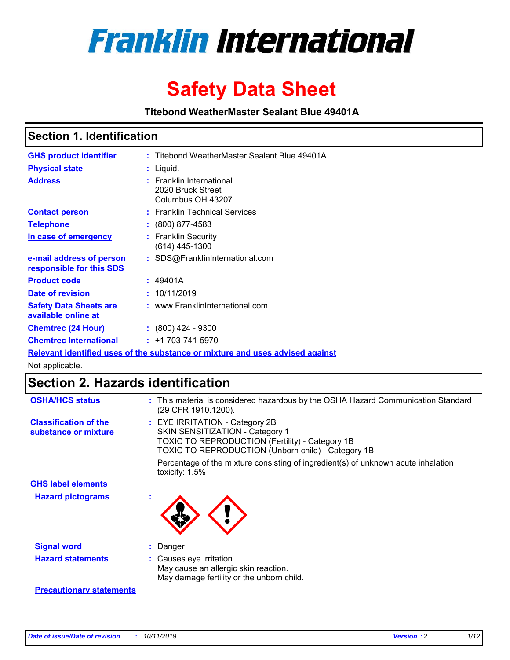

# **Safety Data Sheet**

**Titebond WeatherMaster Sealant Blue 49401A**

## **Section 1. Identification**

| <b>GHS product identifier</b>                                                 |  | : Titebond WeatherMaster Sealant Blue 49401A                       |  |  |  |
|-------------------------------------------------------------------------------|--|--------------------------------------------------------------------|--|--|--|
| <b>Physical state</b>                                                         |  | : Liquid.                                                          |  |  |  |
| <b>Address</b>                                                                |  | : Franklin International<br>2020 Bruck Street<br>Columbus OH 43207 |  |  |  |
| <b>Contact person</b>                                                         |  | : Franklin Technical Services                                      |  |  |  |
| <b>Telephone</b>                                                              |  | $\div$ (800) 877-4583                                              |  |  |  |
| In case of emergency                                                          |  | : Franklin Security<br>(614) 445-1300                              |  |  |  |
| e-mail address of person<br>responsible for this SDS                          |  | : SDS@FranklinInternational.com                                    |  |  |  |
| <b>Product code</b>                                                           |  | : 49401A                                                           |  |  |  |
| Date of revision                                                              |  | : 10/11/2019                                                       |  |  |  |
| <b>Safety Data Sheets are</b><br>available online at                          |  | : www.FranklinInternational.com                                    |  |  |  |
| <b>Chemtrec (24 Hour)</b>                                                     |  | $\div$ (800) 424 - 9300                                            |  |  |  |
| <b>Chemtrec International</b>                                                 |  | $: +1703 - 741 - 5970$                                             |  |  |  |
| Relevant identified uses of the substance or mixture and uses advised against |  |                                                                    |  |  |  |

Not applicable.

## **Section 2. Hazards identification**

| <b>OSHA/HCS status</b>                               | : This material is considered hazardous by the OSHA Hazard Communication Standard<br>(29 CFR 1910.1200).                                                                                 |
|------------------------------------------------------|------------------------------------------------------------------------------------------------------------------------------------------------------------------------------------------|
| <b>Classification of the</b><br>substance or mixture | : EYE IRRITATION - Category 2B<br>SKIN SENSITIZATION - Category 1<br><b>TOXIC TO REPRODUCTION (Fertility) - Category 1B</b><br><b>TOXIC TO REPRODUCTION (Unborn child) - Category 1B</b> |
|                                                      | Percentage of the mixture consisting of ingredient(s) of unknown acute inhalation<br>toxicity: $1.5\%$                                                                                   |
| <b>GHS label elements</b>                            |                                                                                                                                                                                          |
| <b>Hazard pictograms</b>                             |                                                                                                                                                                                          |
| <b>Signal word</b>                                   | : Danger                                                                                                                                                                                 |
| <b>Hazard statements</b>                             | : Causes eye irritation.<br>May cause an allergic skin reaction.<br>May damage fertility or the unborn child.                                                                            |
| <b>Precautionary statements</b>                      |                                                                                                                                                                                          |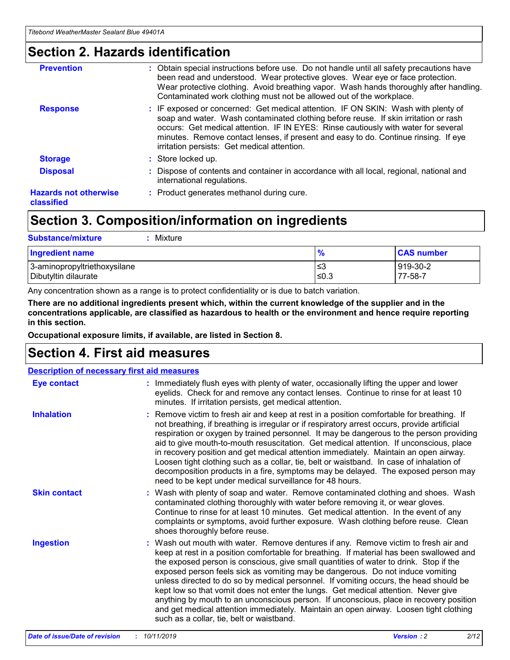## **Section 2. Hazards identification**

| <b>Prevention</b>                          | : Obtain special instructions before use. Do not handle until all safety precautions have<br>been read and understood. Wear protective gloves. Wear eye or face protection.<br>Wear protective clothing. Avoid breathing vapor. Wash hands thoroughly after handling.<br>Contaminated work clothing must not be allowed out of the workplace.                                                        |
|--------------------------------------------|------------------------------------------------------------------------------------------------------------------------------------------------------------------------------------------------------------------------------------------------------------------------------------------------------------------------------------------------------------------------------------------------------|
| <b>Response</b>                            | : IF exposed or concerned: Get medical attention. IF ON SKIN: Wash with plenty of<br>soap and water. Wash contaminated clothing before reuse. If skin irritation or rash<br>occurs: Get medical attention. IF IN EYES: Rinse cautiously with water for several<br>minutes. Remove contact lenses, if present and easy to do. Continue rinsing. If eye<br>irritation persists: Get medical attention. |
| <b>Storage</b>                             | : Store locked up.                                                                                                                                                                                                                                                                                                                                                                                   |
| <b>Disposal</b>                            | : Dispose of contents and container in accordance with all local, regional, national and<br>international regulations.                                                                                                                                                                                                                                                                               |
| <b>Hazards not otherwise</b><br>classified | : Product generates methanol during cure.                                                                                                                                                                                                                                                                                                                                                            |
|                                            |                                                                                                                                                                                                                                                                                                                                                                                                      |

## **Section 3. Composition/information on ingredients**

| <b>Substance/mixture</b><br>Mixture                  |               |                     |
|------------------------------------------------------|---------------|---------------------|
| <b>Ingredient name</b>                               | $\frac{9}{6}$ | <b>CAS number</b>   |
| 3-aminopropyltriethoxysilane<br>Dibutyltin dilaurate | ≤3<br>≤0.3    | 919-30-2<br>77-58-7 |

Any concentration shown as a range is to protect confidentiality or is due to batch variation.

**There are no additional ingredients present which, within the current knowledge of the supplier and in the concentrations applicable, are classified as hazardous to health or the environment and hence require reporting in this section.**

**Occupational exposure limits, if available, are listed in Section 8.**

## **Section 4. First aid measures**

| <b>Description of necessary first aid measures</b> |                                                                                                                                                                                                                                                                                                                                                                                                                                                                                                                                                                                                                                                                                                                                                                           |  |  |  |
|----------------------------------------------------|---------------------------------------------------------------------------------------------------------------------------------------------------------------------------------------------------------------------------------------------------------------------------------------------------------------------------------------------------------------------------------------------------------------------------------------------------------------------------------------------------------------------------------------------------------------------------------------------------------------------------------------------------------------------------------------------------------------------------------------------------------------------------|--|--|--|
| <b>Eye contact</b>                                 | : Immediately flush eyes with plenty of water, occasionally lifting the upper and lower<br>eyelids. Check for and remove any contact lenses. Continue to rinse for at least 10<br>minutes. If irritation persists, get medical attention.                                                                                                                                                                                                                                                                                                                                                                                                                                                                                                                                 |  |  |  |
| <b>Inhalation</b>                                  | : Remove victim to fresh air and keep at rest in a position comfortable for breathing. If<br>not breathing, if breathing is irregular or if respiratory arrest occurs, provide artificial<br>respiration or oxygen by trained personnel. It may be dangerous to the person providing<br>aid to give mouth-to-mouth resuscitation. Get medical attention. If unconscious, place<br>in recovery position and get medical attention immediately. Maintain an open airway.<br>Loosen tight clothing such as a collar, tie, belt or waistband. In case of inhalation of<br>decomposition products in a fire, symptoms may be delayed. The exposed person may<br>need to be kept under medical surveillance for 48 hours.                                                       |  |  |  |
| <b>Skin contact</b>                                | : Wash with plenty of soap and water. Remove contaminated clothing and shoes. Wash<br>contaminated clothing thoroughly with water before removing it, or wear gloves.<br>Continue to rinse for at least 10 minutes. Get medical attention. In the event of any<br>complaints or symptoms, avoid further exposure. Wash clothing before reuse. Clean<br>shoes thoroughly before reuse.                                                                                                                                                                                                                                                                                                                                                                                     |  |  |  |
| <b>Ingestion</b>                                   | : Wash out mouth with water. Remove dentures if any. Remove victim to fresh air and<br>keep at rest in a position comfortable for breathing. If material has been swallowed and<br>the exposed person is conscious, give small quantities of water to drink. Stop if the<br>exposed person feels sick as vomiting may be dangerous. Do not induce vomiting<br>unless directed to do so by medical personnel. If vomiting occurs, the head should be<br>kept low so that vomit does not enter the lungs. Get medical attention. Never give<br>anything by mouth to an unconscious person. If unconscious, place in recovery position<br>and get medical attention immediately. Maintain an open airway. Loosen tight clothing<br>such as a collar, tie, belt or waistband. |  |  |  |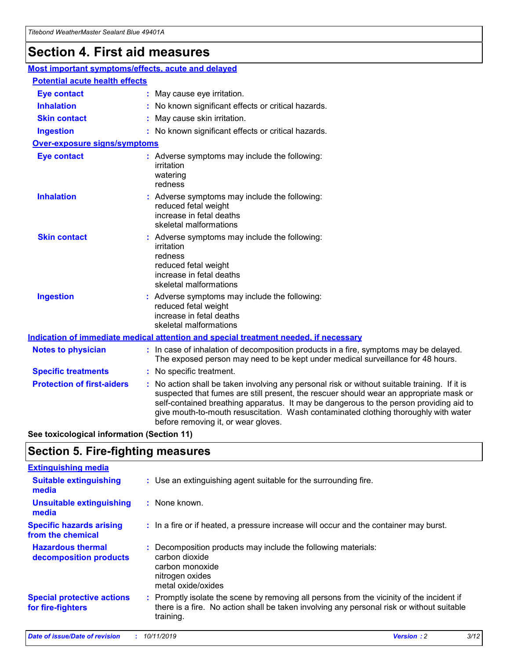## **Section 4. First aid measures**

| Most important symptoms/effects, acute and delayed |  |                                                                                                                                                                                                                                                                                                                                                                                                                 |  |
|----------------------------------------------------|--|-----------------------------------------------------------------------------------------------------------------------------------------------------------------------------------------------------------------------------------------------------------------------------------------------------------------------------------------------------------------------------------------------------------------|--|
| <b>Potential acute health effects</b>              |  |                                                                                                                                                                                                                                                                                                                                                                                                                 |  |
| <b>Eye contact</b>                                 |  | : May cause eye irritation.                                                                                                                                                                                                                                                                                                                                                                                     |  |
| <b>Inhalation</b>                                  |  | : No known significant effects or critical hazards.                                                                                                                                                                                                                                                                                                                                                             |  |
| <b>Skin contact</b>                                |  | : May cause skin irritation.                                                                                                                                                                                                                                                                                                                                                                                    |  |
| <b>Ingestion</b>                                   |  | : No known significant effects or critical hazards.                                                                                                                                                                                                                                                                                                                                                             |  |
| <b>Over-exposure signs/symptoms</b>                |  |                                                                                                                                                                                                                                                                                                                                                                                                                 |  |
| <b>Eye contact</b>                                 |  | : Adverse symptoms may include the following:<br>irritation<br>watering<br>redness                                                                                                                                                                                                                                                                                                                              |  |
| <b>Inhalation</b>                                  |  | : Adverse symptoms may include the following:<br>reduced fetal weight<br>increase in fetal deaths<br>skeletal malformations                                                                                                                                                                                                                                                                                     |  |
| <b>Skin contact</b>                                |  | : Adverse symptoms may include the following:<br>irritation<br>redness<br>reduced fetal weight<br>increase in fetal deaths<br>skeletal malformations                                                                                                                                                                                                                                                            |  |
| <b>Ingestion</b>                                   |  | : Adverse symptoms may include the following:<br>reduced fetal weight<br>increase in fetal deaths<br>skeletal malformations                                                                                                                                                                                                                                                                                     |  |
|                                                    |  | <b>Indication of immediate medical attention and special treatment needed, if necessary</b>                                                                                                                                                                                                                                                                                                                     |  |
| <b>Notes to physician</b>                          |  | : In case of inhalation of decomposition products in a fire, symptoms may be delayed.<br>The exposed person may need to be kept under medical surveillance for 48 hours.                                                                                                                                                                                                                                        |  |
| <b>Specific treatments</b>                         |  | : No specific treatment.                                                                                                                                                                                                                                                                                                                                                                                        |  |
| <b>Protection of first-aiders</b>                  |  | : No action shall be taken involving any personal risk or without suitable training. If it is<br>suspected that fumes are still present, the rescuer should wear an appropriate mask or<br>self-contained breathing apparatus. It may be dangerous to the person providing aid to<br>give mouth-to-mouth resuscitation. Wash contaminated clothing thoroughly with water<br>before removing it, or wear gloves. |  |

**See toxicological information (Section 11)**

## **Section 5. Fire-fighting measures**

| <b>Extinguishing media</b>                             |                                                                                                                                                                                                     |
|--------------------------------------------------------|-----------------------------------------------------------------------------------------------------------------------------------------------------------------------------------------------------|
| <b>Suitable extinguishing</b><br>media                 | : Use an extinguishing agent suitable for the surrounding fire.                                                                                                                                     |
| <b>Unsuitable extinguishing</b><br>media               | : None known.                                                                                                                                                                                       |
| <b>Specific hazards arising</b><br>from the chemical   | : In a fire or if heated, a pressure increase will occur and the container may burst.                                                                                                               |
| <b>Hazardous thermal</b><br>decomposition products     | : Decomposition products may include the following materials:<br>carbon dioxide<br>carbon monoxide<br>nitrogen oxides<br>metal oxide/oxides                                                         |
| <b>Special protective actions</b><br>for fire-fighters | : Promptly isolate the scene by removing all persons from the vicinity of the incident if<br>there is a fire. No action shall be taken involving any personal risk or without suitable<br>training. |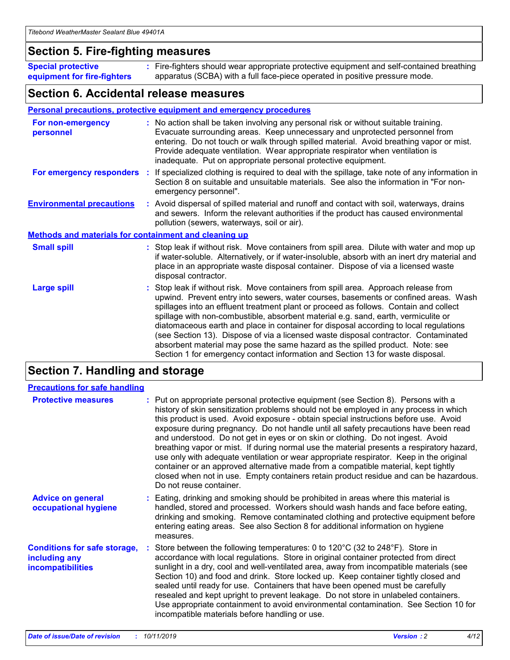## **Section 5. Fire-fighting measures**

**Special protective equipment for fire-fighters** Fire-fighters should wear appropriate protective equipment and self-contained breathing **:** apparatus (SCBA) with a full face-piece operated in positive pressure mode.

## **Section 6. Accidental release measures**

### **Personal precautions, protective equipment and emergency procedures**

| For non-emergency<br>personnel                               | : No action shall be taken involving any personal risk or without suitable training.<br>Evacuate surrounding areas. Keep unnecessary and unprotected personnel from<br>entering. Do not touch or walk through spilled material. Avoid breathing vapor or mist.<br>Provide adequate ventilation. Wear appropriate respirator when ventilation is<br>inadequate. Put on appropriate personal protective equipment.                                                                                                                                                                                                                                                                                             |
|--------------------------------------------------------------|--------------------------------------------------------------------------------------------------------------------------------------------------------------------------------------------------------------------------------------------------------------------------------------------------------------------------------------------------------------------------------------------------------------------------------------------------------------------------------------------------------------------------------------------------------------------------------------------------------------------------------------------------------------------------------------------------------------|
| For emergency responders                                     | : If specialized clothing is required to deal with the spillage, take note of any information in<br>Section 8 on suitable and unsuitable materials. See also the information in "For non-<br>emergency personnel".                                                                                                                                                                                                                                                                                                                                                                                                                                                                                           |
| <b>Environmental precautions</b>                             | : Avoid dispersal of spilled material and runoff and contact with soil, waterways, drains<br>and sewers. Inform the relevant authorities if the product has caused environmental<br>pollution (sewers, waterways, soil or air).                                                                                                                                                                                                                                                                                                                                                                                                                                                                              |
| <b>Methods and materials for containment and cleaning up</b> |                                                                                                                                                                                                                                                                                                                                                                                                                                                                                                                                                                                                                                                                                                              |
| <b>Small spill</b>                                           | : Stop leak if without risk. Move containers from spill area. Dilute with water and mop up<br>if water-soluble. Alternatively, or if water-insoluble, absorb with an inert dry material and<br>place in an appropriate waste disposal container. Dispose of via a licensed waste<br>disposal contractor.                                                                                                                                                                                                                                                                                                                                                                                                     |
| <b>Large spill</b>                                           | : Stop leak if without risk. Move containers from spill area. Approach release from<br>upwind. Prevent entry into sewers, water courses, basements or confined areas. Wash<br>spillages into an effluent treatment plant or proceed as follows. Contain and collect<br>spillage with non-combustible, absorbent material e.g. sand, earth, vermiculite or<br>diatomaceous earth and place in container for disposal according to local regulations<br>(see Section 13). Dispose of via a licensed waste disposal contractor. Contaminated<br>absorbent material may pose the same hazard as the spilled product. Note: see<br>Section 1 for emergency contact information and Section 13 for waste disposal. |

## **Section 7. Handling and storage**

| <b>Precautions for safe handling</b>                                             |                                                                                                                                                                                                                                                                                                                                                                                                                                                                                                                                                                                                                                                                                                                                                                                                                                                  |
|----------------------------------------------------------------------------------|--------------------------------------------------------------------------------------------------------------------------------------------------------------------------------------------------------------------------------------------------------------------------------------------------------------------------------------------------------------------------------------------------------------------------------------------------------------------------------------------------------------------------------------------------------------------------------------------------------------------------------------------------------------------------------------------------------------------------------------------------------------------------------------------------------------------------------------------------|
| <b>Protective measures</b>                                                       | : Put on appropriate personal protective equipment (see Section 8). Persons with a<br>history of skin sensitization problems should not be employed in any process in which<br>this product is used. Avoid exposure - obtain special instructions before use. Avoid<br>exposure during pregnancy. Do not handle until all safety precautions have been read<br>and understood. Do not get in eyes or on skin or clothing. Do not ingest. Avoid<br>breathing vapor or mist. If during normal use the material presents a respiratory hazard,<br>use only with adequate ventilation or wear appropriate respirator. Keep in the original<br>container or an approved alternative made from a compatible material, kept tightly<br>closed when not in use. Empty containers retain product residue and can be hazardous.<br>Do not reuse container. |
| <b>Advice on general</b><br>occupational hygiene                                 | : Eating, drinking and smoking should be prohibited in areas where this material is<br>handled, stored and processed. Workers should wash hands and face before eating,<br>drinking and smoking. Remove contaminated clothing and protective equipment before<br>entering eating areas. See also Section 8 for additional information on hygiene<br>measures.                                                                                                                                                                                                                                                                                                                                                                                                                                                                                    |
| <b>Conditions for safe storage,</b><br>including any<br><b>incompatibilities</b> | Store between the following temperatures: 0 to 120 $\degree$ C (32 to 248 $\degree$ F). Store in<br>accordance with local regulations. Store in original container protected from direct<br>sunlight in a dry, cool and well-ventilated area, away from incompatible materials (see<br>Section 10) and food and drink. Store locked up. Keep container tightly closed and<br>sealed until ready for use. Containers that have been opened must be carefully<br>resealed and kept upright to prevent leakage. Do not store in unlabeled containers.<br>Use appropriate containment to avoid environmental contamination. See Section 10 for<br>incompatible materials before handling or use.                                                                                                                                                     |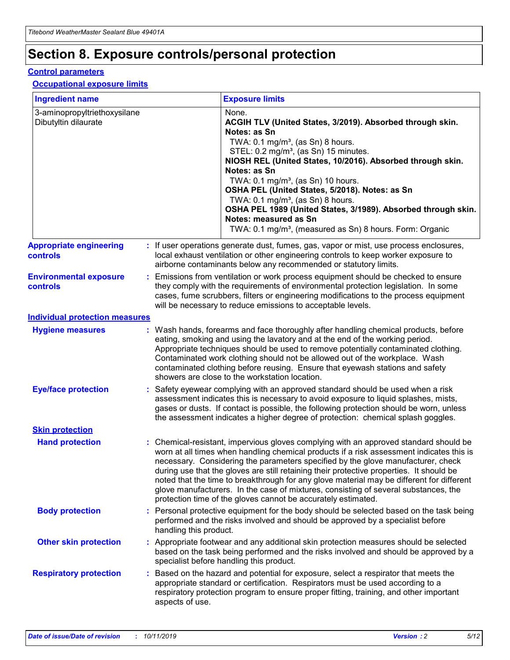## **Section 8. Exposure controls/personal protection**

### **Control parameters**

### **Occupational exposure limits**

| <b>Ingredient name</b>                               |    |                                          | <b>Exposure limits</b>                                                                                                                                                                                                                                                                                                                                                                                                                                                                                                                                                                                                 |
|------------------------------------------------------|----|------------------------------------------|------------------------------------------------------------------------------------------------------------------------------------------------------------------------------------------------------------------------------------------------------------------------------------------------------------------------------------------------------------------------------------------------------------------------------------------------------------------------------------------------------------------------------------------------------------------------------------------------------------------------|
| 3-aminopropyltriethoxysilane<br>Dibutyltin dilaurate |    |                                          | None.<br>ACGIH TLV (United States, 3/2019). Absorbed through skin.<br>Notes: as Sn<br>TWA: 0.1 mg/m <sup>3</sup> , (as Sn) 8 hours.<br>STEL: 0.2 mg/m <sup>3</sup> , (as Sn) 15 minutes.<br>NIOSH REL (United States, 10/2016). Absorbed through skin.<br>Notes: as Sn<br>TWA: 0.1 mg/m <sup>3</sup> , (as Sn) 10 hours.<br>OSHA PEL (United States, 5/2018). Notes: as Sn<br>TWA: $0.1 \text{ mg/m}^3$ , (as Sn) 8 hours.<br>OSHA PEL 1989 (United States, 3/1989). Absorbed through skin.<br>Notes: measured as Sn<br>TWA: 0.1 mg/m <sup>3</sup> , (measured as Sn) 8 hours. Form: Organic                           |
| <b>Appropriate engineering</b><br>controls           |    |                                          | : If user operations generate dust, fumes, gas, vapor or mist, use process enclosures,<br>local exhaust ventilation or other engineering controls to keep worker exposure to<br>airborne contaminants below any recommended or statutory limits.                                                                                                                                                                                                                                                                                                                                                                       |
| <b>Environmental exposure</b><br><b>controls</b>     |    |                                          | Emissions from ventilation or work process equipment should be checked to ensure<br>they comply with the requirements of environmental protection legislation. In some<br>cases, fume scrubbers, filters or engineering modifications to the process equipment<br>will be necessary to reduce emissions to acceptable levels.                                                                                                                                                                                                                                                                                          |
| <b>Individual protection measures</b>                |    |                                          |                                                                                                                                                                                                                                                                                                                                                                                                                                                                                                                                                                                                                        |
| <b>Hygiene measures</b>                              |    |                                          | : Wash hands, forearms and face thoroughly after handling chemical products, before<br>eating, smoking and using the lavatory and at the end of the working period.<br>Appropriate techniques should be used to remove potentially contaminated clothing.<br>Contaminated work clothing should not be allowed out of the workplace. Wash<br>contaminated clothing before reusing. Ensure that eyewash stations and safety<br>showers are close to the workstation location.                                                                                                                                            |
| <b>Eye/face protection</b>                           |    |                                          | : Safety eyewear complying with an approved standard should be used when a risk<br>assessment indicates this is necessary to avoid exposure to liquid splashes, mists,<br>gases or dusts. If contact is possible, the following protection should be worn, unless<br>the assessment indicates a higher degree of protection: chemical splash goggles.                                                                                                                                                                                                                                                                  |
| <b>Skin protection</b>                               |    |                                          |                                                                                                                                                                                                                                                                                                                                                                                                                                                                                                                                                                                                                        |
| <b>Hand protection</b>                               |    |                                          | : Chemical-resistant, impervious gloves complying with an approved standard should be<br>worn at all times when handling chemical products if a risk assessment indicates this is<br>necessary. Considering the parameters specified by the glove manufacturer, check<br>during use that the gloves are still retaining their protective properties. It should be<br>noted that the time to breakthrough for any glove material may be different for different<br>glove manufacturers. In the case of mixtures, consisting of several substances, the<br>protection time of the gloves cannot be accurately estimated. |
| <b>Body protection</b>                               |    | handling this product.                   | Personal protective equipment for the body should be selected based on the task being<br>performed and the risks involved and should be approved by a specialist before                                                                                                                                                                                                                                                                                                                                                                                                                                                |
| <b>Other skin protection</b>                         |    | specialist before handling this product. | : Appropriate footwear and any additional skin protection measures should be selected<br>based on the task being performed and the risks involved and should be approved by a                                                                                                                                                                                                                                                                                                                                                                                                                                          |
| <b>Respiratory protection</b>                        | ÷. | aspects of use.                          | Based on the hazard and potential for exposure, select a respirator that meets the<br>appropriate standard or certification. Respirators must be used according to a<br>respiratory protection program to ensure proper fitting, training, and other important                                                                                                                                                                                                                                                                                                                                                         |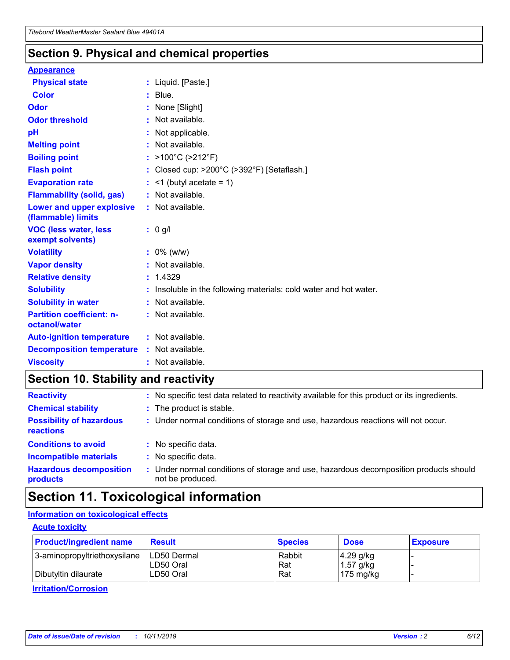## **Section 9. Physical and chemical properties**

### **Appearance**

| <b>Physical state</b>                             | : Liquid. [Paste.]                                              |
|---------------------------------------------------|-----------------------------------------------------------------|
| <b>Color</b>                                      | $:$ Blue.                                                       |
| Odor                                              | : None [Slight]                                                 |
| <b>Odor threshold</b>                             | $:$ Not available.                                              |
| рH                                                | : Not applicable.                                               |
| <b>Melting point</b>                              | : Not available.                                                |
| <b>Boiling point</b>                              | : >100°C (>212°F)                                               |
| <b>Flash point</b>                                | : Closed cup: >200°C (>392°F) [Setaflash.]                      |
| <b>Evaporation rate</b>                           | $:$ <1 (butyl acetate = 1)                                      |
| <b>Flammability (solid, gas)</b>                  | : Not available.                                                |
| Lower and upper explosive<br>(flammable) limits   | : Not available.                                                |
| <b>VOC (less water, less</b><br>exempt solvents)  | $: 0$ g/l                                                       |
| <b>Volatility</b>                                 | $: 0\%$ (w/w)                                                   |
| <b>Vapor density</b>                              | : Not available.                                                |
| <b>Relative density</b>                           | : 1.4329                                                        |
| <b>Solubility</b>                                 | Insoluble in the following materials: cold water and hot water. |
| <b>Solubility in water</b>                        | : Not available.                                                |
| <b>Partition coefficient: n-</b><br>octanol/water | $:$ Not available.                                              |
| <b>Auto-ignition temperature</b>                  | $:$ Not available.                                              |
| <b>Decomposition temperature</b>                  | : Not available.                                                |
| <b>Viscosity</b>                                  | : Not available.                                                |

## **Section 10. Stability and reactivity**

| <b>Reactivity</b>                            | : No specific test data related to reactivity available for this product or its ingredients.            |
|----------------------------------------------|---------------------------------------------------------------------------------------------------------|
| <b>Chemical stability</b>                    | : The product is stable.                                                                                |
| <b>Possibility of hazardous</b><br>reactions | : Under normal conditions of storage and use, hazardous reactions will not occur.                       |
| <b>Conditions to avoid</b>                   | : No specific data.                                                                                     |
| <b>Incompatible materials</b>                | : No specific data.                                                                                     |
| <b>Hazardous decomposition</b><br>products   | Under normal conditions of storage and use, hazardous decomposition products should<br>not be produced. |

## **Section 11. Toxicological information**

## **Information on toxicological effects**

### **Acute toxicity**

| <b>Product/ingredient name</b> | <b>Result</b>           | <b>Species</b> | <b>Dose</b>                | <b>Exposure</b> |
|--------------------------------|-------------------------|----------------|----------------------------|-----------------|
| 3-aminopropyltriethoxysilane   | <b>ILD50 Dermal</b>     | Rabbit         | 4.29 g/kg                  |                 |
| Dibutyltin dilaurate           | ILD50 Oral<br>LD50 Oral | Rat<br>Rat     | $1.57$ g/kg<br>175 $mg/kg$ |                 |
|                                |                         |                |                            |                 |

**Irritation/Corrosion**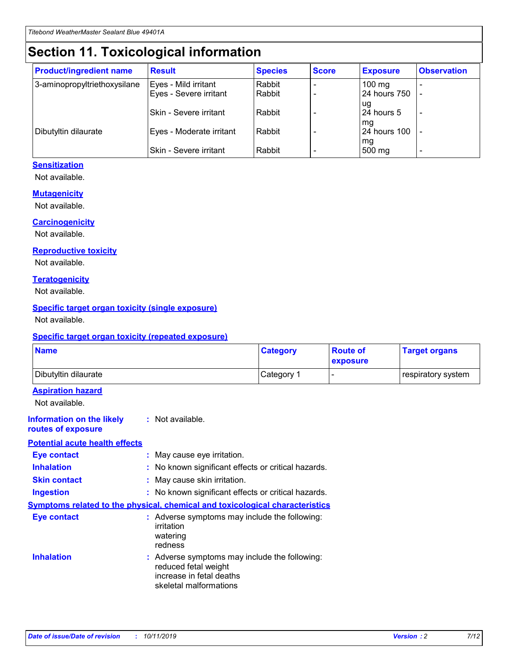## **Section 11. Toxicological information**

| <b>Product/ingredient name</b> | <b>Result</b>                 | <b>Species</b> | <b>Score</b> | <b>Exposure</b>           | <b>Observation</b> |
|--------------------------------|-------------------------------|----------------|--------------|---------------------------|--------------------|
| 3-aminopropyltriethoxysilane   | Eyes - Mild irritant          | Rabbit         |              | $100 \text{ mg}$          |                    |
|                                | Eyes - Severe irritant        | Rabbit         |              | 24 hours 750              |                    |
|                                |                               |                |              | ug                        |                    |
|                                | <b>Skin - Severe irritant</b> | Rabbit         |              | 24 hours 5                | -                  |
| Dibutyltin dilaurate           | Eyes - Moderate irritant      | Rabbit         |              | mq<br><b>24 hours 100</b> |                    |
|                                |                               |                |              | mg                        |                    |
|                                | Skin - Severe irritant        | Rabbit         |              | 500 mg                    |                    |

### **Sensitization**

Not available.

### **Mutagenicity**

Not available.

#### **Carcinogenicity**

Not available.

#### **Reproductive toxicity**

Not available.

#### **Teratogenicity**

Not available.

### **Specific target organ toxicity (single exposure)**

Not available.

#### **Specific target organ toxicity (repeated exposure)**

| <b>Name</b>                                                                         |                                                                            | <b>Category</b>                                     | <b>Route of</b><br>exposure | <b>Target organs</b> |
|-------------------------------------------------------------------------------------|----------------------------------------------------------------------------|-----------------------------------------------------|-----------------------------|----------------------|
| Dibutyltin dilaurate                                                                |                                                                            | Category 1                                          |                             | respiratory system   |
| <b>Aspiration hazard</b><br>Not available.                                          |                                                                            |                                                     |                             |                      |
| <b>Information on the likely</b><br>routes of exposure                              | : Not available.                                                           |                                                     |                             |                      |
| <b>Potential acute health effects</b>                                               |                                                                            |                                                     |                             |                      |
| <b>Eye contact</b>                                                                  | : May cause eye irritation.                                                |                                                     |                             |                      |
| <b>Inhalation</b>                                                                   |                                                                            | : No known significant effects or critical hazards. |                             |                      |
| <b>Skin contact</b>                                                                 | : May cause skin irritation.                                               |                                                     |                             |                      |
| <b>Ingestion</b>                                                                    |                                                                            | : No known significant effects or critical hazards. |                             |                      |
| <b>Symptoms related to the physical, chemical and toxicological characteristics</b> |                                                                            |                                                     |                             |                      |
| <b>Eye contact</b>                                                                  | irritation<br>watering<br>redness                                          | : Adverse symptoms may include the following:       |                             |                      |
| <b>Inhalation</b>                                                                   | reduced fetal weight<br>increase in fetal deaths<br>skeletal malformations | : Adverse symptoms may include the following:       |                             |                      |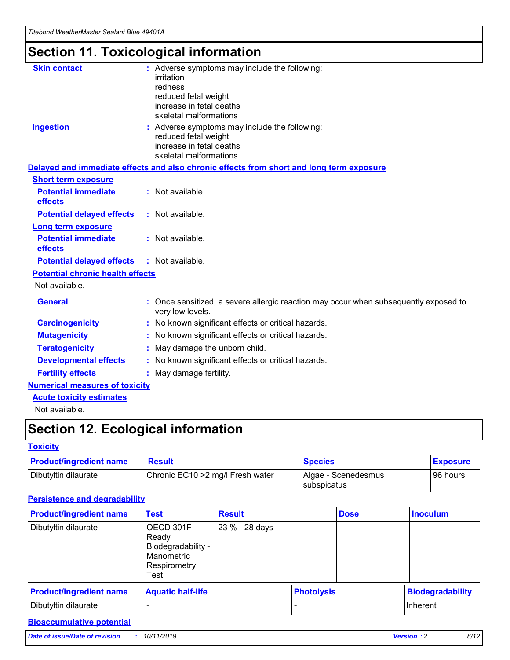## **Section 11. Toxicological information**

| <b>Skin contact</b>                     | : Adverse symptoms may include the following:<br>irritation<br>redness<br>reduced fetal weight<br>increase in fetal deaths<br>skeletal malformations |
|-----------------------------------------|------------------------------------------------------------------------------------------------------------------------------------------------------|
| <b>Ingestion</b>                        | : Adverse symptoms may include the following:<br>reduced fetal weight<br>increase in fetal deaths<br>skeletal malformations                          |
|                                         | Delayed and immediate effects and also chronic effects from short and long term exposure                                                             |
| <b>Short term exposure</b>              |                                                                                                                                                      |
| <b>Potential immediate</b><br>effects   | : Not available.                                                                                                                                     |
| <b>Potential delayed effects</b>        | : Not available.                                                                                                                                     |
| <b>Long term exposure</b>               |                                                                                                                                                      |
| <b>Potential immediate</b><br>effects   | : Not available.                                                                                                                                     |
| <b>Potential delayed effects</b>        | : Not available.                                                                                                                                     |
| <b>Potential chronic health effects</b> |                                                                                                                                                      |
| Not available.                          |                                                                                                                                                      |
| <b>General</b>                          | : Once sensitized, a severe allergic reaction may occur when subsequently exposed to<br>very low levels.                                             |
| <b>Carcinogenicity</b>                  | : No known significant effects or critical hazards.                                                                                                  |
| <b>Mutagenicity</b>                     | No known significant effects or critical hazards.                                                                                                    |
| <b>Teratogenicity</b>                   | May damage the unborn child.                                                                                                                         |
| <b>Developmental effects</b>            | No known significant effects or critical hazards.                                                                                                    |
| <b>Fertility effects</b>                | : May damage fertility.                                                                                                                              |
| <b>Numerical measures of toxicity</b>   |                                                                                                                                                      |
| <b>Acute toxicity estimates</b>         |                                                                                                                                                      |
|                                         |                                                                                                                                                      |

Not available.

## **Section 12. Ecological information**

### **Toxicity**

| <b>Product/ingredient name</b> | <b>Result</b>                     | <b>Species</b>                       | <b>Exposure</b> |
|--------------------------------|-----------------------------------|--------------------------------------|-----------------|
| Dibutyltin dilaurate           | Chronic EC10 > 2 mg/l Fresh water | Algae - Scenedesmus<br>I subspicatus | l 96 hours      |

## **Persistence and degradability**

| <b>Product/ingredient name</b> | <b>Test</b>                                                                    | <b>Result</b>  |  | <b>Dose</b>       | <b>Inoculum</b>         |
|--------------------------------|--------------------------------------------------------------------------------|----------------|--|-------------------|-------------------------|
| Dibutyltin dilaurate           | OECD 301F<br>Ready<br>Biodegradability -<br>Manometric<br>Respirometry<br>Test | 23 % - 28 days |  |                   |                         |
| <b>Product/ingredient name</b> | <b>Aquatic half-life</b>                                                       |                |  | <b>Photolysis</b> | <b>Biodegradability</b> |
| Dibutyltin dilaurate           |                                                                                |                |  |                   | Inherent                |

## **Bioaccumulative potential**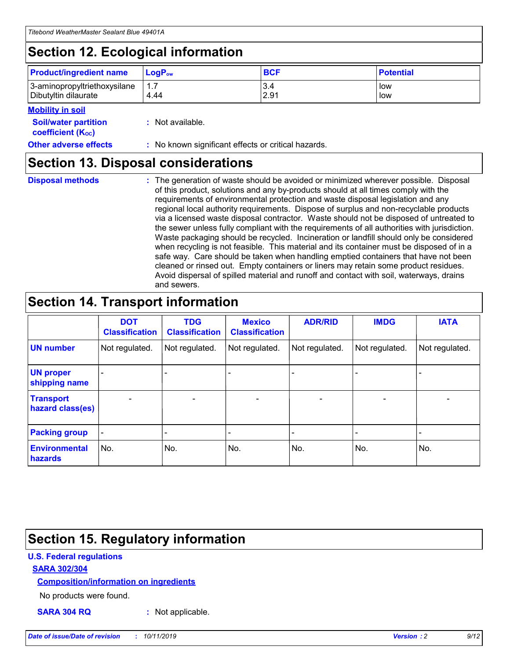## **Section 12. Ecological information**

| <b>Product/ingredient name</b> | $LoaPow$ | <b>BCF</b> | <b>Potential</b> |
|--------------------------------|----------|------------|------------------|
| 3-aminopropyltriethoxysilane   | 1.7      | 3.4        | low              |
| Dibutyltin dilaurate           | 4.44     | 2.91       | low              |

#### **Mobility in soil**

| <b>Soil/water partition</b><br>coefficient (K <sub>oc</sub> ) | : Not available.                                    |
|---------------------------------------------------------------|-----------------------------------------------------|
| <b>Other adverse effects</b>                                  | : No known significant effects or critical hazards. |

## **Section 13. Disposal considerations**

| <b>Disposal methods</b> |
|-------------------------|

**Disposal methods** : The generation of waste should be avoided or minimized wherever possible. Disposal of this product, solutions and any by-products should at all times comply with the requirements of environmental protection and waste disposal legislation and any regional local authority requirements. Dispose of surplus and non-recyclable products via a licensed waste disposal contractor. Waste should not be disposed of untreated to the sewer unless fully compliant with the requirements of all authorities with jurisdiction. Waste packaging should be recycled. Incineration or landfill should only be considered when recycling is not feasible. This material and its container must be disposed of in a safe way. Care should be taken when handling emptied containers that have not been cleaned or rinsed out. Empty containers or liners may retain some product residues. Avoid dispersal of spilled material and runoff and contact with soil, waterways, drains and sewers.

## **Section 14. Transport information**

|                                      | <b>DOT</b><br><b>Classification</b> | <b>TDG</b><br><b>Classification</b> | <b>Mexico</b><br><b>Classification</b> | <b>ADR/RID</b>           | <b>IMDG</b>              | <b>IATA</b>    |
|--------------------------------------|-------------------------------------|-------------------------------------|----------------------------------------|--------------------------|--------------------------|----------------|
| <b>UN number</b>                     | Not regulated.                      | Not regulated.                      | Not regulated.                         | Not regulated.           | Not regulated.           | Not regulated. |
| <b>UN proper</b><br>shipping name    |                                     |                                     |                                        |                          |                          |                |
| <b>Transport</b><br>hazard class(es) | $\overline{\phantom{a}}$            | $\overline{\phantom{0}}$            | $\overline{\phantom{0}}$               | $\overline{\phantom{0}}$ | $\overline{\phantom{0}}$ | $\blacksquare$ |
| <b>Packing group</b>                 | $\overline{\phantom{a}}$            |                                     |                                        |                          | -                        |                |
| <b>Environmental</b><br>hazards      | No.                                 | No.                                 | No.                                    | No.                      | No.                      | No.            |

## **Section 15. Regulatory information**

### **U.S. Federal regulations**

### **SARA 302/304**

### **Composition/information on ingredients**

No products were found.

**SARA 304 RQ :** Not applicable.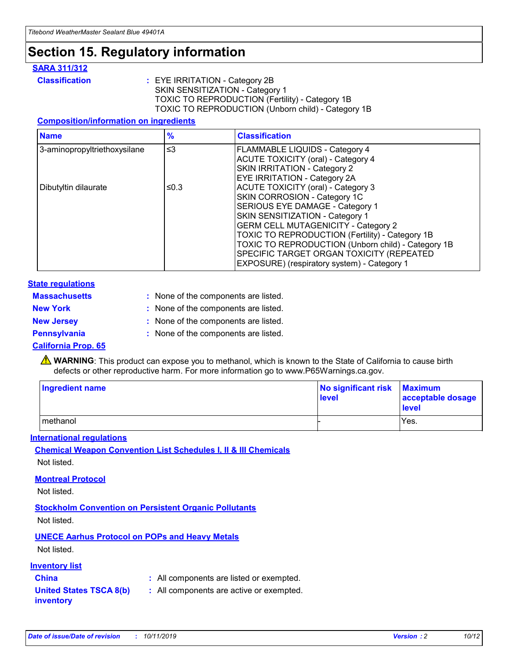## **Section 15. Regulatory information**

### **SARA 311/312**

**Classification :** EYE IRRITATION - Category 2B SKIN SENSITIZATION - Category 1 TOXIC TO REPRODUCTION (Fertility) - Category 1B TOXIC TO REPRODUCTION (Unborn child) - Category 1B

### **Composition/information on ingredients**

| <b>Name</b>                  | $\frac{9}{6}$ | <b>Classification</b>                                  |
|------------------------------|---------------|--------------------------------------------------------|
| 3-aminopropyltriethoxysilane | $\leq$ 3      | <b>FLAMMABLE LIQUIDS - Category 4</b>                  |
|                              |               | <b>ACUTE TOXICITY (oral) - Category 4</b>              |
|                              |               | SKIN IRRITATION - Category 2                           |
|                              |               | EYE IRRITATION - Category 2A                           |
| Dibutyltin dilaurate         | ≤0.3          | <b>ACUTE TOXICITY (oral) - Category 3</b>              |
|                              |               | SKIN CORROSION - Category 1C                           |
|                              |               | SERIOUS EYE DAMAGE - Category 1                        |
|                              |               | SKIN SENSITIZATION - Category 1                        |
|                              |               | <b>GERM CELL MUTAGENICITY - Category 2</b>             |
|                              |               | <b>TOXIC TO REPRODUCTION (Fertility) - Category 1B</b> |
|                              |               | TOXIC TO REPRODUCTION (Unborn child) - Category 1B     |
|                              |               | SPECIFIC TARGET ORGAN TOXICITY (REPEATED               |
|                              |               | EXPOSURE) (respiratory system) - Category 1            |

### **State regulations**

| <b>Massachusetts</b> | : None of the components are listed. |
|----------------------|--------------------------------------|
| <b>New York</b>      | : None of the components are listed. |
| <b>New Jersey</b>    | : None of the components are listed. |
| <b>Pennsylvania</b>  | : None of the components are listed. |

### **California Prop. 65**

**A** WARNING: This product can expose you to methanol, which is known to the State of California to cause birth defects or other reproductive harm. For more information go to www.P65Warnings.ca.gov.

| <b>Ingredient name</b> | No significant risk Maximum<br>level | acceptable dosage<br>level |
|------------------------|--------------------------------------|----------------------------|
| methanol               |                                      | Yes.                       |

### **International regulations**

**Chemical Weapon Convention List Schedules I, II & III Chemicals** Not listed.

### **Montreal Protocol**

Not listed.

### **Stockholm Convention on Persistent Organic Pollutants**

Not listed.

## **UNECE Aarhus Protocol on POPs and Heavy Metals**

Not listed.

### **Inventory list**

## **China :** All components are listed or exempted.

#### **United States TSCA 8(b) inventory :** All components are active or exempted.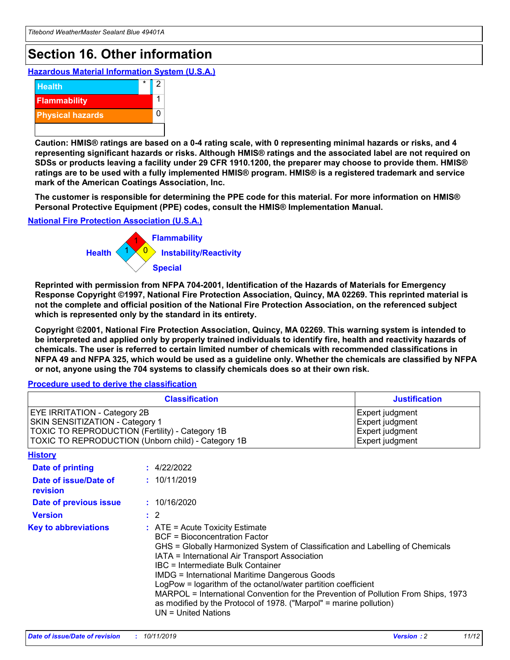## **Section 16. Other information**

**Hazardous Material Information System (U.S.A.)**



**Caution: HMIS® ratings are based on a 0-4 rating scale, with 0 representing minimal hazards or risks, and 4 representing significant hazards or risks. Although HMIS® ratings and the associated label are not required on SDSs or products leaving a facility under 29 CFR 1910.1200, the preparer may choose to provide them. HMIS® ratings are to be used with a fully implemented HMIS® program. HMIS® is a registered trademark and service mark of the American Coatings Association, Inc.**

**The customer is responsible for determining the PPE code for this material. For more information on HMIS® Personal Protective Equipment (PPE) codes, consult the HMIS® Implementation Manual.**

### **National Fire Protection Association (U.S.A.)**



**Reprinted with permission from NFPA 704-2001, Identification of the Hazards of Materials for Emergency Response Copyright ©1997, National Fire Protection Association, Quincy, MA 02269. This reprinted material is not the complete and official position of the National Fire Protection Association, on the referenced subject which is represented only by the standard in its entirety.**

**Copyright ©2001, National Fire Protection Association, Quincy, MA 02269. This warning system is intended to be interpreted and applied only by properly trained individuals to identify fire, health and reactivity hazards of chemicals. The user is referred to certain limited number of chemicals with recommended classifications in NFPA 49 and NFPA 325, which would be used as a guideline only. Whether the chemicals are classified by NFPA or not, anyone using the 704 systems to classify chemicals does so at their own risk.**

#### **Procedure used to derive the classification**

|                                                                                                                                  | <b>Classification</b>                                                                                                                                                                                                                                                                                                                                                                                                                                                                                                                                                           | <b>Justification</b>                                                     |
|----------------------------------------------------------------------------------------------------------------------------------|---------------------------------------------------------------------------------------------------------------------------------------------------------------------------------------------------------------------------------------------------------------------------------------------------------------------------------------------------------------------------------------------------------------------------------------------------------------------------------------------------------------------------------------------------------------------------------|--------------------------------------------------------------------------|
| <b>EYE IRRITATION - Category 2B</b><br>SKIN SENSITIZATION - Category 1<br><b>TOXIC TO REPRODUCTION (Fertility) - Category 1B</b> | TOXIC TO REPRODUCTION (Unborn child) - Category 1B                                                                                                                                                                                                                                                                                                                                                                                                                                                                                                                              | Expert judgment<br>Expert judgment<br>Expert judgment<br>Expert judgment |
| <b>History</b>                                                                                                                   |                                                                                                                                                                                                                                                                                                                                                                                                                                                                                                                                                                                 |                                                                          |
| Date of printing                                                                                                                 | : 4/22/2022                                                                                                                                                                                                                                                                                                                                                                                                                                                                                                                                                                     |                                                                          |
| Date of issue/Date of<br>revision                                                                                                | : 10/11/2019                                                                                                                                                                                                                                                                                                                                                                                                                                                                                                                                                                    |                                                                          |
| Date of previous issue                                                                                                           | : 10/16/2020                                                                                                                                                                                                                                                                                                                                                                                                                                                                                                                                                                    |                                                                          |
| <b>Version</b>                                                                                                                   | $\therefore$ 2                                                                                                                                                                                                                                                                                                                                                                                                                                                                                                                                                                  |                                                                          |
| <b>Key to abbreviations</b>                                                                                                      | $\therefore$ ATE = Acute Toxicity Estimate<br><b>BCF</b> = Bioconcentration Factor<br>GHS = Globally Harmonized System of Classification and Labelling of Chemicals<br>IATA = International Air Transport Association<br><b>IBC</b> = Intermediate Bulk Container<br><b>IMDG = International Maritime Dangerous Goods</b><br>LogPow = logarithm of the octanol/water partition coefficient<br>MARPOL = International Convention for the Prevention of Pollution From Ships, 1973<br>as modified by the Protocol of 1978. ("Marpol" = marine pollution)<br>$UN = United Nations$ |                                                                          |